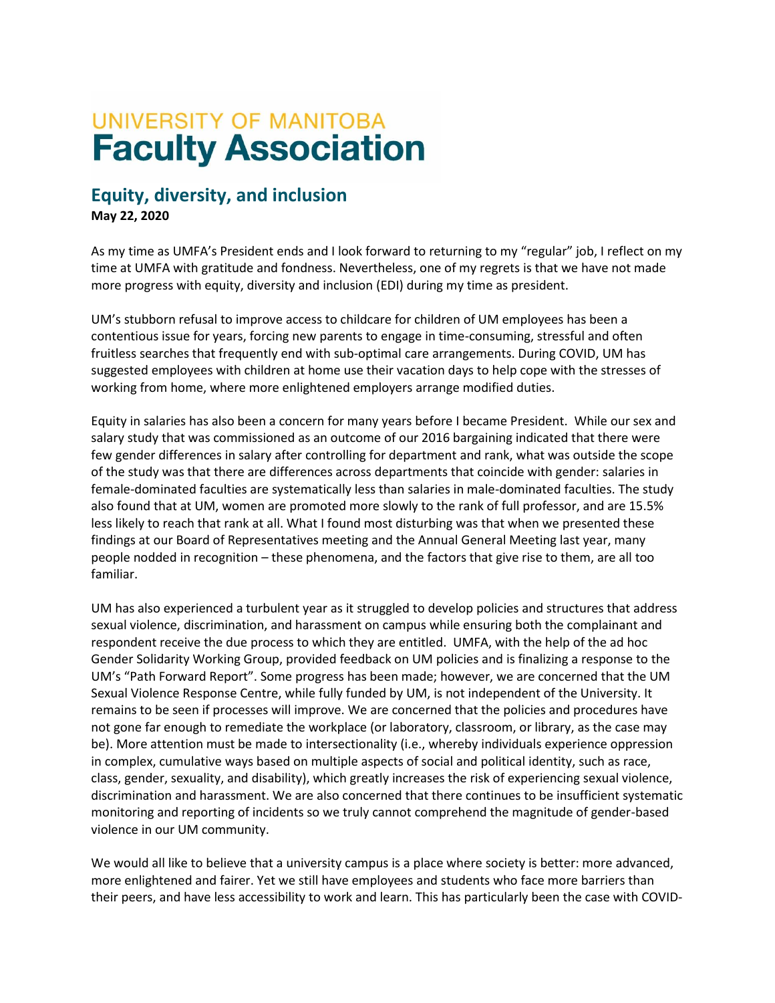## **UNIVERSITY OF MANITOBA Faculty Association**

## **Equity, diversity, and inclusion**

**May 22, 2020**

As my time as UMFA's President ends and I look forward to returning to my "regular" job, I reflect on my time at UMFA with gratitude and fondness. Nevertheless, one of my regrets is that we have not made more progress with equity, diversity and inclusion (EDI) during my time as president.

UM's stubborn refusal to improve access to childcare for children of UM employees has been a contentious issue for years, forcing new parents to engage in time-consuming, stressful and often fruitless searches that frequently end with sub-optimal care arrangements. During COVID, UM has suggested employees with children at home use their vacation days to help cope with the stresses of working from home, where more enlightened employers arrange modified duties.

Equity in salaries has also been a concern for many years before I became President. While our sex and salary study that was commissioned as an outcome of our 2016 bargaining indicated that there were few gender differences in salary after controlling for department and rank, what was outside the scope of the study was that there are differences across departments that coincide with gender: salaries in female-dominated faculties are systematically less than salaries in male-dominated faculties. The study also found that at UM, women are promoted more slowly to the rank of full professor, and are 15.5% less likely to reach that rank at all. What I found most disturbing was that when we presented these findings at our Board of Representatives meeting and the Annual General Meeting last year, many people nodded in recognition – these phenomena, and the factors that give rise to them, are all too familiar.

UM has also experienced a turbulent year as it struggled to develop policies and structures that address sexual violence, discrimination, and harassment on campus while ensuring both the complainant and respondent receive the due process to which they are entitled. UMFA, with the help of the ad hoc Gender Solidarity Working Group, provided feedback on UM policies and is finalizing a response to the UM's "Path Forward Report". Some progress has been made; however, we are concerned that the UM Sexual Violence Response Centre, while fully funded by UM, is not independent of the University. It remains to be seen if processes will improve. We are concerned that the policies and procedures have not gone far enough to remediate the workplace (or laboratory, classroom, or library, as the case may be). More attention must be made to intersectionality (i.e., whereby individuals experience oppression in complex, cumulative ways based on multiple aspects of social and political identity, such as race, class, gender, sexuality, and disability), which greatly increases the risk of experiencing sexual violence, discrimination and harassment. We are also concerned that there continues to be insufficient systematic monitoring and reporting of incidents so we truly cannot comprehend the magnitude of gender-based violence in our UM community.

We would all like to believe that a university campus is a place where society is better: more advanced, more enlightened and fairer. Yet we still have employees and students who face more barriers than their peers, and have less accessibility to work and learn. This has particularly been the case with COVID-